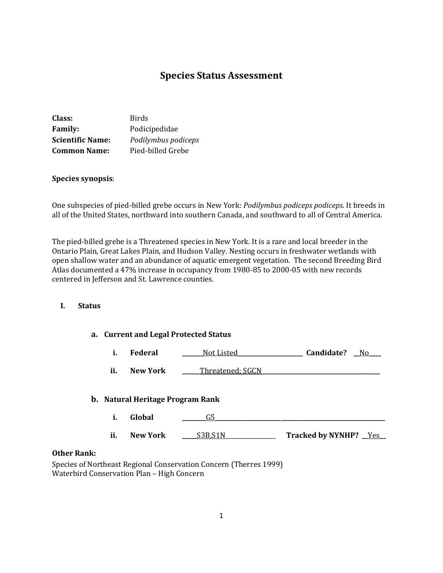# **Species Status Assessment**

| Class:                  | <b>Birds</b>        |
|-------------------------|---------------------|
| <b>Family:</b>          | Podicipedidae       |
| <b>Scientific Name:</b> | Podilymbus podiceps |
| <b>Common Name:</b>     | Pied-billed Grebe   |

#### **Species synopsis**:

One subspecies of pied-billed grebe occurs in New York: *Podilymbus podiceps podiceps*. It breeds in all of the United States, northward into southern Canada, and southward to all of Central America.

The pied-billed grebe is a Threatened species in New York. It is a rare and local breeder in the Ontario Plain, Great Lakes Plain, and Hudson Valley. Nesting occurs in freshwater wetlands with open shallow water and an abundance of aquatic emergent vegetation. The second Breeding Bird Atlas documented a 47% increase in occupancy from 1980-85 to 2000-05 with new records centered in Jefferson and St. Lawrence counties.

## **I. Status**

# **a. Current and Legal Protected Status**

| Federal | Not Listed | Candidate? | No |
|---------|------------|------------|----|
|         |            |            |    |

**ii. New York \_\_\_\_\_\_**Threatened; SGCN**\_\_\_\_\_\_\_\_\_\_\_\_\_\_\_\_\_\_\_\_\_\_\_\_\_\_\_\_\_\_\_\_\_\_\_\_\_\_\_\_**

#### **b. Natural Heritage Program Rank**

**i. Global \_\_\_\_\_\_\_\_**G5**\_\_\_\_\_\_\_\_\_\_\_\_\_\_\_\_\_\_\_\_\_\_ \_\_\_\_\_\_\_\_\_\_\_\_\_\_\_\_\_\_\_\_\_\_\_\_\_\_\_\_\_\_\_\_\_\_\_ ii. New York \_\_\_\_\_**S3B,S1N\_\_\_\_\_\_\_\_\_\_\_\_\_\_\_\_\_ **Tracked by NYNHP? \_\_**Yes**\_\_**

#### **Other Rank:**

Species of Northeast Regional Conservation Concern (Therres 1999) Waterbird Conservation Plan – High Concern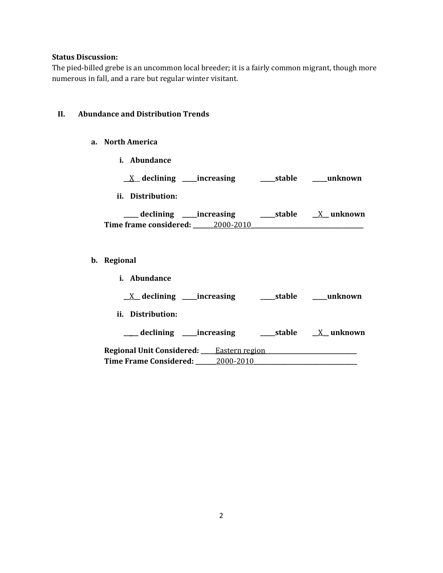## **Status Discussion:**

The pied-billed grebe is an uncommon local breeder; it is a fairly common migrant, though more numerous in fall, and a rare but regular winter visitant.

## **II. Abundance and Distribution Trends**

#### **a. North America**

**i. Abundance**

|  | $\_\Lambda$ declining | increasing | stable | unknown |
|--|-----------------------|------------|--------|---------|
|--|-----------------------|------------|--------|---------|

**ii. Distribution:**

| declining              | ____increasing | stable | X unknown |
|------------------------|----------------|--------|-----------|
| Time frame considered: | 2000-2010      |        |           |

# **b. Regional**

| <i>i.</i> Abundance                                  |            |           |
|------------------------------------------------------|------------|-----------|
| $X$ declining ______ increasing                      | ____stable | unknown   |
| ii. Distribution:                                    |            |           |
| ___ declining _____increasing                        | ____stable | X unknown |
| <b>Regional Unit Considered:</b> ____Eastern region_ |            |           |
| Time Frame Considered: 2000-2010                     |            |           |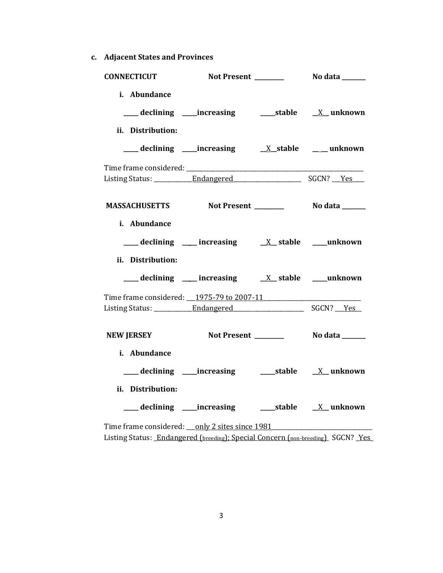**c. Adjacent States and Provinces**

| <b>CONNECTICUT</b>                                 |                                                    |  |
|----------------------------------------------------|----------------------------------------------------|--|
| i. Abundance<br>ii. Distribution:                  |                                                    |  |
|                                                    |                                                    |  |
|                                                    |                                                    |  |
| MASSACHUSETTS Not Present _________ No data ______ |                                                    |  |
| i. Abundance<br>ii. Distribution:                  | declining ___ increasing ___ x_ stable ___ unknown |  |
|                                                    | declining ___ increasing ___ X_ stable ___ unknown |  |
| Time frame considered: 1975-79 to 2007-11          |                                                    |  |
| <b>NEW JERSEY</b>                                  |                                                    |  |
| i. Abundance<br>ii. Distribution:                  |                                                    |  |
|                                                    |                                                    |  |
| Time frame considered: ___ only 2 sites since 1981 |                                                    |  |

Listing Status: *\_Endangered (breeding)*; Special Concern (non-breeding) SGCN? <u>Yes</u>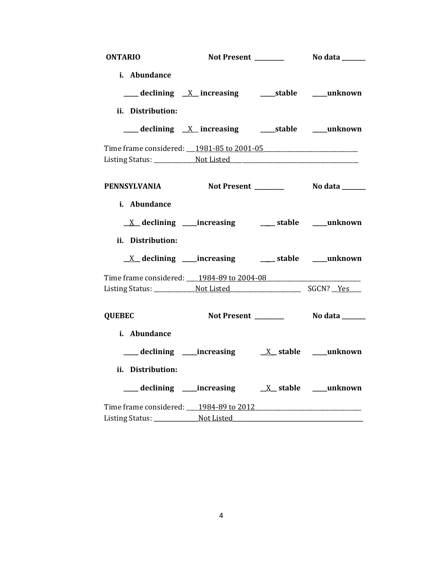| <b>ONTARIO</b>                                                                                                 |                                                                      |  |
|----------------------------------------------------------------------------------------------------------------|----------------------------------------------------------------------|--|
| i. Abundance                                                                                                   |                                                                      |  |
|                                                                                                                | ___ declining <u>X</u> increasing ____ stable ____ unknown           |  |
| ii. Distribution:                                                                                              |                                                                      |  |
|                                                                                                                |                                                                      |  |
|                                                                                                                | ___ declining _X_ increasing ______stable _____unknown               |  |
| Time frame considered: 1981-85 to 2001-05                                                                      |                                                                      |  |
|                                                                                                                |                                                                      |  |
|                                                                                                                |                                                                      |  |
| PENNSYLVANIA Not Present ________ No data ______                                                               |                                                                      |  |
| i. Abundance                                                                                                   |                                                                      |  |
|                                                                                                                |                                                                      |  |
|                                                                                                                | <u>X</u> declining ____increasing _______ stable _____unknown        |  |
| ii. Distribution:                                                                                              |                                                                      |  |
|                                                                                                                | $\underline{X}$ declining ____increasing _______ stable _____unknown |  |
| Time frame considered: ___ 1984-89 to 2004-08                                                                  |                                                                      |  |
|                                                                                                                |                                                                      |  |
|                                                                                                                |                                                                      |  |
| <b>QUEBEC</b>                                                                                                  |                                                                      |  |
| i. Abundance                                                                                                   |                                                                      |  |
|                                                                                                                |                                                                      |  |
| ii. Distribution:                                                                                              |                                                                      |  |
|                                                                                                                |                                                                      |  |
| Time frame considered: 1984-89 to 2012                                                                         |                                                                      |  |
| Listing Status: Not Listed Montester Management Constant Constant Constant Constant Constant Constant Constant |                                                                      |  |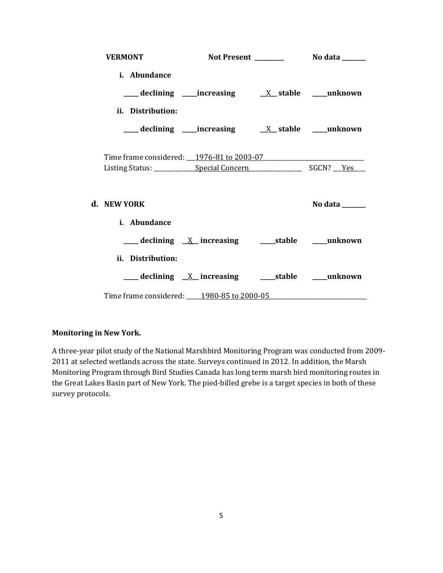| <b>VERMONT</b>                            |  |                |
|-------------------------------------------|--|----------------|
| i. Abundance                              |  |                |
|                                           |  |                |
| ii. Distribution:                         |  |                |
|                                           |  |                |
| Time frame considered: 1976-81 to 2003-07 |  |                |
|                                           |  |                |
| d. NEW YORK                               |  | No data ______ |
| i. Abundance                              |  |                |
|                                           |  |                |
| ii. Distribution:                         |  |                |
|                                           |  |                |
| Time frame considered: 1980-85 to 2000-05 |  |                |

### **Monitoring in New York.**

A three-year pilot study of the National Marshbird Monitoring Program was conducted from 2009- 2011 at selected wetlands across the state. Surveys continued in 2012. In addition, the Marsh Monitoring Program through Bird Studies Canada has long term marsh bird monitoring routes in the Great Lakes Basin part of New York. The pied-billed grebe is a target species in both of these survey protocols.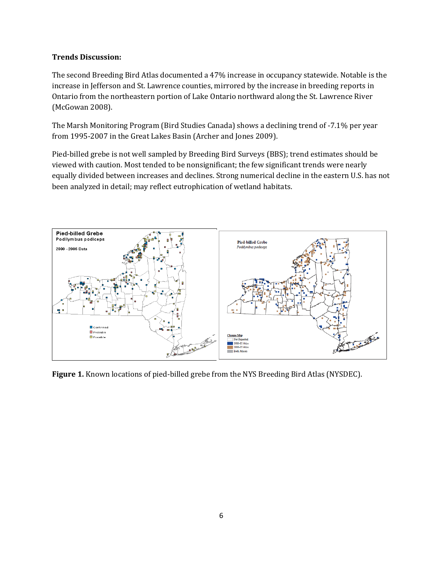## **Trends Discussion:**

The second Breeding Bird Atlas documented a 47% increase in occupancy statewide. Notable is the increase in Jefferson and St. Lawrence counties, mirrored by the increase in breeding reports in Ontario from the northeastern portion of Lake Ontario northward along the St. Lawrence River (McGowan 2008).

The Marsh Monitoring Program (Bird Studies Canada) shows a declining trend of -7.1% per year from 1995-2007 in the Great Lakes Basin (Archer and Jones 2009).

Pied-billed grebe is not well sampled by Breeding Bird Surveys (BBS); trend estimates should be viewed with caution. Most tended to be nonsignificant; the few significant trends were nearly equally divided between increases and declines. Strong numerical decline in the eastern U.S. has not been analyzed in detail; may reflect eutrophication of wetland habitats.



**Figure 1.** Known locations of pied-billed grebe from the NYS Breeding Bird Atlas (NYSDEC).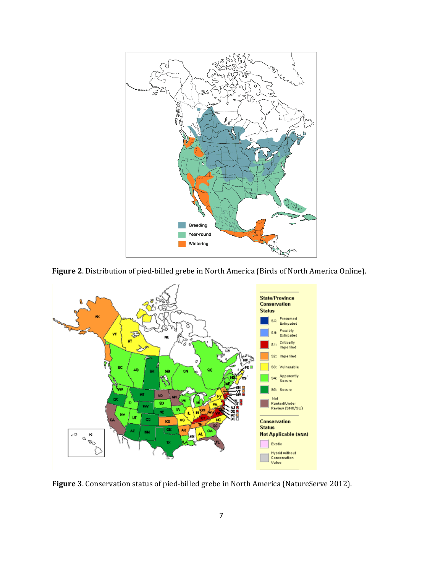

**Figure 2**. Distribution of pied-billed grebe in North America (Birds of North America Online).



**Figure 3**. Conservation status of pied-billed grebe in North America (NatureServe 2012).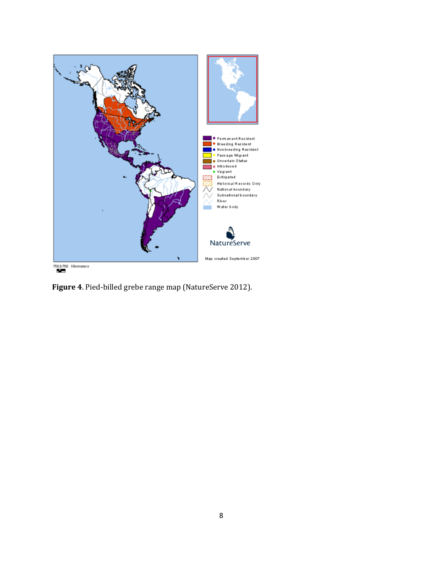

**Figure 4**. Pied-billed grebe range map (NatureServe 2012).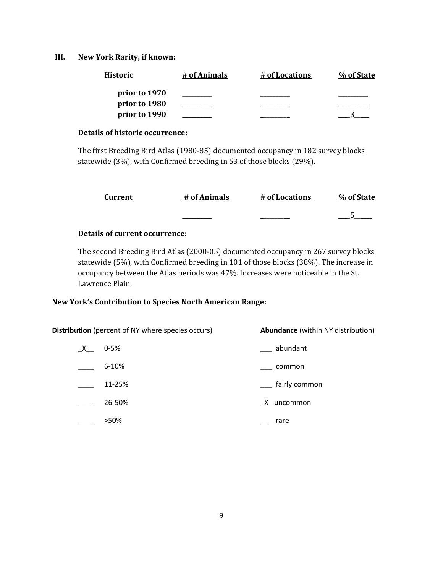## **III. New York Rarity, if known:**

| <b>Historic</b> | # of Animals | # of Locations | % of State |
|-----------------|--------------|----------------|------------|
| prior to 1970   |              |                |            |
| prior to 1980   |              |                |            |
| prior to 1990   |              |                |            |

#### **Details of historic occurrence:**

The first Breeding Bird Atlas (1980-85) documented occupancy in 182 survey blocks statewide (3%), with Confirmed breeding in 53 of those blocks (29%).

| Current | # of Animals | # of Locations | % of State |
|---------|--------------|----------------|------------|
|         | _______      |                |            |

## **Details of current occurrence:**

The second Breeding Bird Atlas (2000-05) documented occupancy in 267 survey blocks statewide (5%), with Confirmed breeding in 101 of those blocks (38%). The increase in occupancy between the Atlas periods was 47%. Increases were noticeable in the St. Lawrence Plain.

### **New York's Contribution to Species North American Range:**

| <b>Distribution</b> (percent of NY where species occurs) |          | <b>Abundance</b> (within NY distribution) |
|----------------------------------------------------------|----------|-------------------------------------------|
| $\mathsf{X}$                                             | $0 - 5%$ | abundant                                  |
|                                                          | 6-10%    | common                                    |
|                                                          | 11-25%   | fairly common                             |
|                                                          | 26-50%   | X uncommon                                |
|                                                          | >50%     | rare                                      |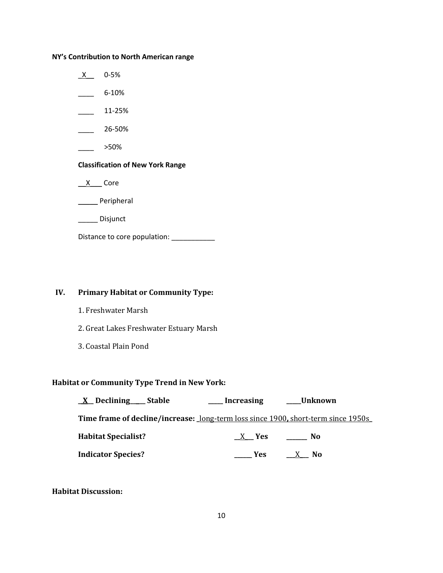### **NY's Contribution to North American range**

 $X$  0-5%  $-$  6-10%  $\frac{11-25\%}{2}$  $26 - 50\%$ \_\_\_\_ >50% **Classification of New York Range**  $X$  Core \_\_\_\_\_ Peripheral \_\_\_\_\_ Disjunct Distance to core population: \_\_\_\_\_\_\_\_\_\_\_

# **IV. Primary Habitat or Community Type:**

- 1. Freshwater Marsh
- 2. Great Lakes Freshwater Estuary Marsh
- 3. Coastal Plain Pond

# **Habitat or Community Type Trend in New York:**

| <u>X</u> Declining Stable                                                                | __ Increasing | _Unknown |
|------------------------------------------------------------------------------------------|---------------|----------|
| <b>Time frame of decline/increase:</b> long-term loss since 1900, short-term since 1950s |               |          |
| <b>Habitat Specialist?</b>                                                               | X Yes         | No.      |
| <b>Indicator Species?</b>                                                                | Yes:          | $X$ No   |

## **Habitat Discussion:**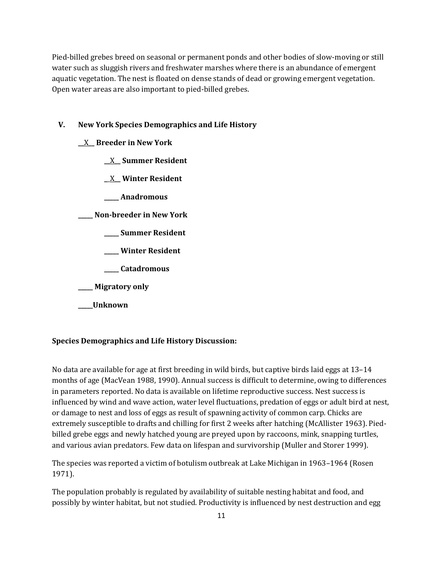Pied-billed grebes breed on seasonal or permanent ponds and other bodies of slow-moving or still water such as sluggish rivers and freshwater marshes where there is an abundance of emergent aquatic vegetation. The nest is floated on dense stands of dead or growing emergent vegetation. Open water areas are also important to pied-billed grebes.

### **V. New York Species Demographics and Life History**

- **\_\_**X**\_\_ Breeder in New York**
	- **\_\_**X**\_\_ Summer Resident**
	- **\_**\_X**\_\_ Winter Resident**
	- **\_\_\_\_\_ Anadromous**

**\_\_\_\_\_ Non-breeder in New York**

- **\_\_\_\_\_ Summer Resident**
- **\_\_\_\_\_ Winter Resident**
- **\_\_\_\_\_ Catadromous**
- **\_\_\_\_\_ Migratory only**
- **\_\_\_\_\_Unknown**

#### **Species Demographics and Life History Discussion:**

No data are available for age at first breeding in wild birds, but captive birds laid eggs at 13–14 months of age (MacVean 1988, 1990). Annual success is difficult to determine, owing to differences in parameters reported. No data is available on lifetime reproductive success. Nest success is influenced by wind and wave action, water level fluctuations, predation of eggs or adult bird at nest, or damage to nest and loss of eggs as result of spawning activity of common carp. Chicks are extremely susceptible to drafts and chilling for first 2 weeks after hatching (McAllister 1963). Piedbilled grebe eggs and newly hatched young are preyed upon by raccoons, mink, snapping turtles, and various avian predators. Few data on lifespan and survivorship (Muller and Storer 1999).

The species was reported a victim of botulism outbreak at Lake Michigan in 1963–1964 (Rosen 1971).

The population probably is regulated by availability of suitable nesting habitat and food, and possibly by winter habitat, but not studied. Productivity is influenced by nest destruction and egg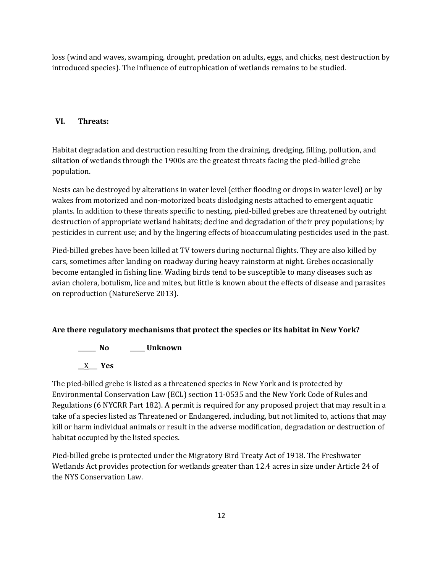loss (wind and waves, swamping, drought, predation on adults, eggs, and chicks, nest destruction by introduced species). The influence of eutrophication of wetlands remains to be studied.

# **VI. Threats:**

Habitat degradation and destruction resulting from the draining, dredging, filling, pollution, and siltation of wetlands through the 1900s are the greatest threats facing the pied-billed grebe population.

Nests can be destroyed by alterations in water level (either flooding or drops in water level) or by wakes from motorized and non-motorized boats dislodging nests attached to emergent aquatic plants. In addition to these threats specific to nesting, pied-billed grebes are threatened by outright destruction of appropriate wetland habitats; decline and degradation of their prey populations; by pesticides in current use; and by the lingering effects of bioaccumulating pesticides used in the past.

Pied-billed grebes have been killed at TV towers during nocturnal flights. They are also killed by cars, sometimes after landing on roadway during heavy rainstorm at night. Grebes occasionally become entangled in fishing line. Wading birds tend to be susceptible to many diseases such as avian cholera, botulism, lice and mites, but little is known about the effects of disease and parasites on reproduction (NatureServe 2013).

# **Are there regulatory mechanisms that protect the species or its habitat in New York?**

**\_\_\_\_\_\_ No \_\_\_\_\_ Unknown \_\_**X\_\_\_ **Yes** 

The pied-billed grebe is listed as a threatened species in New York and is protected by Environmental Conservation Law (ECL) section 11-0535 and the New York Code of Rules and Regulations (6 NYCRR Part 182). A permit is required for any proposed project that may result in a take of a species listed as Threatened or Endangered, including, but not limited to, actions that may kill or harm individual animals or result in the adverse modification, degradation or destruction of habitat occupied by the listed species.

Pied-billed grebe is protected under the Migratory Bird Treaty Act of 1918. The Freshwater Wetlands Act provides protection for wetlands greater than 12.4 acres in size under Article 24 of the NYS Conservation Law.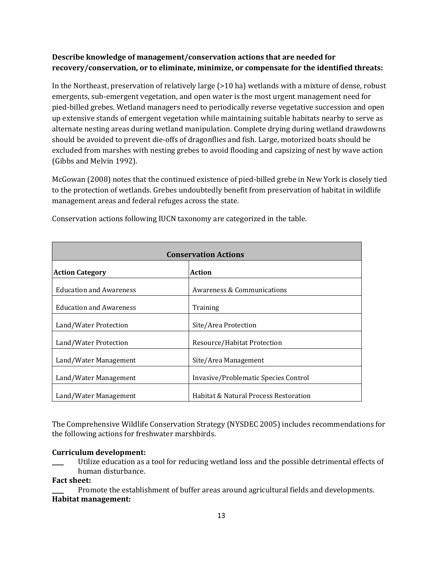# **Describe knowledge of management/conservation actions that are needed for recovery/conservation, or to eliminate, minimize, or compensate for the identified threats:**

In the Northeast, preservation of relatively large (>10 ha) wetlands with a mixture of dense, robust emergents, sub-emergent vegetation, and open water is the most urgent management need for pied-billed grebes. Wetland managers need to periodically reverse vegetative succession and open up extensive stands of emergent vegetation while maintaining suitable habitats nearby to serve as alternate nesting areas during wetland manipulation. Complete drying during wetland drawdowns should be avoided to prevent die-offs of dragonflies and fish. Large, motorized boats should be excluded from marshes with nesting grebes to avoid flooding and capsizing of nest by wave action (Gibbs and Melvin 1992).

McGowan (2008) notes that the continued existence of pied-billed grebe in New York is closely tied to the protection of wetlands. Grebes undoubtedly benefit from preservation of habitat in wildlife management areas and federal refuges across the state.

| <b>Conservation Actions</b>    |                                       |
|--------------------------------|---------------------------------------|
| <b>Action Category</b>         | <b>Action</b>                         |
| <b>Education and Awareness</b> | Awareness & Communications            |
| <b>Education and Awareness</b> | Training                              |
| Land/Water Protection          | Site/Area Protection                  |
| Land/Water Protection          | Resource/Habitat Protection           |
| Land/Water Management          | Site/Area Management                  |
| Land/Water Management          | Invasive/Problematic Species Control  |
| Land/Water Management          | Habitat & Natural Process Restoration |

Conservation actions following IUCN taxonomy are categorized in the table.

The Comprehensive Wildlife Conservation Strategy (NYSDEC 2005) includes recommendations for the following actions for freshwater marshbirds.

### **Curriculum development:**

Utilize education as a tool for reducing wetland loss and the possible detrimental effects of human disturbance.

**Fact sheet:**

Promote the establishment of buffer areas around agricultural fields and developments. **Habitat management:**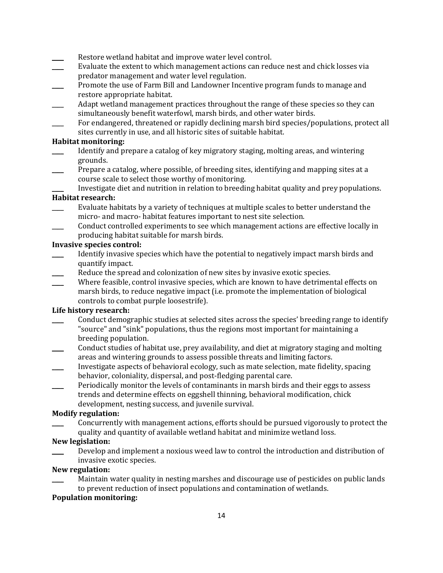- Restore wetland habitat and improve water level control.
- Evaluate the extent to which management actions can reduce nest and chick losses via predator management and water level regulation.
- \_\_\_\_ Promote the use of Farm Bill and Landowner Incentive program funds to manage and restore appropriate habitat.
- Adapt wetland management practices throughout the range of these species so they can simultaneously benefit waterfowl, marsh birds, and other water birds.
- For endangered, threatened or rapidly declining marsh bird species/populations, protect all sites currently in use, and all historic sites of suitable habitat.

#### **Habitat monitoring:**

- Identify and prepare a catalog of key migratory staging, molting areas, and wintering grounds.
- Prepare a catalog, where possible, of breeding sites, identifying and mapping sites at a course scale to select those worthy of monitoring.

Investigate diet and nutrition in relation to breeding habitat quality and prey populations. **Habitat research:** 

- Evaluate habitats by a variety of techniques at multiple scales to better understand the micro- and macro- habitat features important to nest site selection.
- \_\_\_\_ Conduct controlled experiments to see which management actions are effective locally in producing habitat suitable for marsh birds.

#### **Invasive species control:**

- Identify invasive species which have the potential to negatively impact marsh birds and quantify impact.
- Reduce the spread and colonization of new sites by invasive exotic species.
- Where feasible, control invasive species, which are known to have detrimental effects on marsh birds, to reduce negative impact (i.e. promote the implementation of biological controls to combat purple loosestrife).

## **Life history research:**

- \_\_\_\_ Conduct demographic studies at selected sites across the species' breeding range to identify "source" and "sink" populations, thus the regions most important for maintaining a breeding population.
- \_\_\_\_ Conduct studies of habitat use, prey availability, and diet at migratory staging and molting areas and wintering grounds to assess possible threats and limiting factors.
- \_\_\_\_ Investigate aspects of behavioral ecology, such as mate selection, mate fidelity, spacing behavior, coloniality, dispersal, and post-fledging parental care.
- Periodically monitor the levels of contaminants in marsh birds and their eggs to assess trends and determine effects on eggshell thinning, behavioral modification, chick development, nesting success, and juvenile survival.

### **Modify regulation:**

\_\_\_\_ Concurrently with management actions, efforts should be pursued vigorously to protect the quality and quantity of available wetland habitat and minimize wetland loss.

### **New legislation:**

Develop and implement a noxious weed law to control the introduction and distribution of invasive exotic species.

#### **New regulation:**

Maintain water quality in nesting marshes and discourage use of pesticides on public lands to prevent reduction of insect populations and contamination of wetlands.

## **Population monitoring:**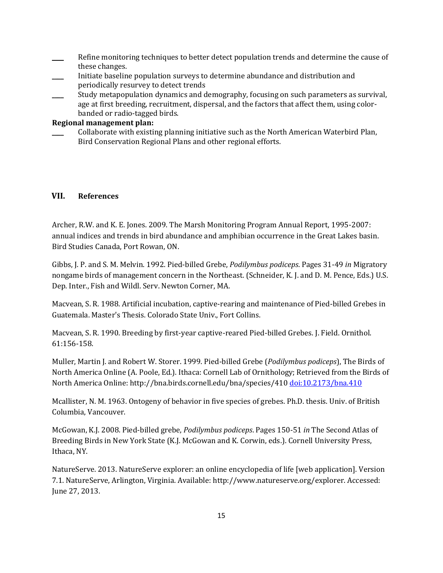- Refine monitoring techniques to better detect population trends and determine the cause of these changes.
- \_\_\_\_ Initiate baseline population surveys to determine abundance and distribution and periodically resurvey to detect trends
- Study metapopulation dynamics and demography, focusing on such parameters as survival, age at first breeding, recruitment, dispersal, and the factors that affect them, using colorbanded or radio-tagged birds.

## **Regional management plan:**

\_\_\_\_ Collaborate with existing planning initiative such as the North American Waterbird Plan, Bird Conservation Regional Plans and other regional efforts.

## **VII. References**

Archer, R.W. and K. E. Jones. 2009. The Marsh Monitoring Program Annual Report, 1995-2007: annual indices and trends in bird abundance and amphibian occurrence in the Great Lakes basin. Bird Studies Canada, Port Rowan, ON.

Gibbs, J. P. and S. M. Melvin. 1992. Pied-billed Grebe, *Podilymbus podiceps*. Pages 31-49 *in* Migratory nongame birds of management concern in the Northeast. (Schneider, K. J. and D. M. Pence, Eds.) U.S. Dep. Inter., Fish and Wildl. Serv. Newton Corner, MA.

Macvean, S. R. 1988. Artificial incubation, captive-rearing and maintenance of Pied-billed Grebes in Guatemala. Master's Thesis. Colorado State Univ., Fort Collins.

Macvean, S. R. 1990. Breeding by first-year captive-reared Pied-billed Grebes. J. Field. Ornithol. 61:156-158.

Muller, Martin J. and Robert W. Storer. 1999. Pied-billed Grebe (*Podilymbus podiceps*), The Birds of North America Online (A. Poole, Ed.). Ithaca: Cornell Lab of Ornithology; Retrieved from the Birds of North America Online: http://bna.birds.cornell.edu/bna/species/410 [doi:10.2173/bna.410](http://dx.doi.org/10.2173/bna.410)

Mcallister, N. M. 1963. Ontogeny of behavior in five species of grebes. Ph.D. thesis. Univ. of British Columbia, Vancouver.

McGowan, K.J. 2008. Pied-billed grebe, *Podilymbus podiceps*. Pages 150-51 *in* The Second Atlas of Breeding Birds in New York State (K.J. McGowan and K. Corwin, eds.). Cornell University Press, Ithaca, NY.

NatureServe. 2013. NatureServe explorer: an online encyclopedia of life [web application]. Version 7.1. NatureServe, Arlington, Virginia. Available: http://www.natureserve.org/explorer. Accessed: June 27, 2013.